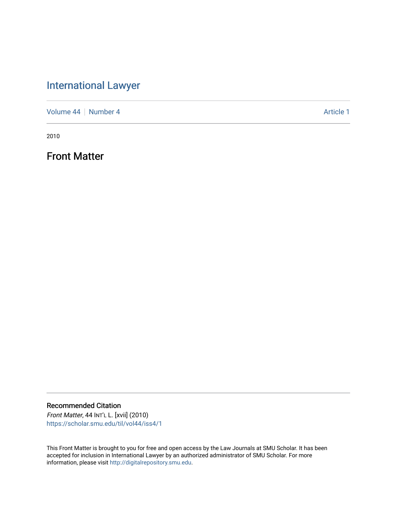# [International Lawyer](https://scholar.smu.edu/til)

[Volume 44](https://scholar.smu.edu/til/vol44) | [Number 4](https://scholar.smu.edu/til/vol44/iss4) Article 1

2010

Front Matter

Recommended Citation Front Matter, 44 INT'L L. [xvii] (2010)

[https://scholar.smu.edu/til/vol44/iss4/1](https://scholar.smu.edu/til/vol44/iss4/1?utm_source=scholar.smu.edu%2Ftil%2Fvol44%2Fiss4%2F1&utm_medium=PDF&utm_campaign=PDFCoverPages)

This Front Matter is brought to you for free and open access by the Law Journals at SMU Scholar. It has been accepted for inclusion in International Lawyer by an authorized administrator of SMU Scholar. For more information, please visit [http://digitalrepository.smu.edu](http://digitalrepository.smu.edu/).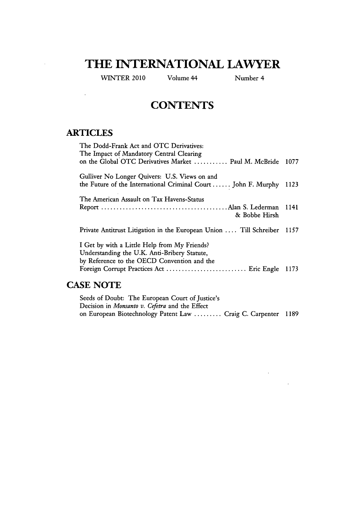## **THE INTERNATIONAL LAWYER**

WINTER 2010 Volume 44 Number 4

 $\mathcal{L}^{\text{max}}_{\text{max}}$  , where  $\mathcal{L}^{\text{max}}_{\text{max}}$ 

 $\sim$ 

## **CONTENTS**

#### **ARTICLES**

 $\hat{\mathcal{L}}$ 

 $\sim 10^{-1}$ 

| The Dodd-Frank Act and OTC Derivatives:<br>The Impact of Mandatory Central Clearing                                                         |      |
|---------------------------------------------------------------------------------------------------------------------------------------------|------|
| on the Global OTC Derivatives Market  Paul M. McBride                                                                                       | 1077 |
| Gulliver No Longer Quivers: U.S. Views on and<br>the Future of the International Criminal Court  John F. Murphy 1123                        |      |
| The American Assault on Tax Havens-Status<br>& Bobbe Hirsh                                                                                  | 1141 |
| Private Antitrust Litigation in the European Union  Till Schreiber                                                                          | 1157 |
| I Get by with a Little Help from My Friends?<br>Understanding the U.K. Anti-Bribery Statute,<br>by Reference to the OECD Convention and the | 1173 |
|                                                                                                                                             |      |

### **CASE NOTE**

| Seeds of Doubt: The European Court of Justice's               |  |
|---------------------------------------------------------------|--|
| Decision in Monsanto v. Cefetra and the Effect                |  |
| on European Biotechnology Patent Law  Craig C. Carpenter 1189 |  |